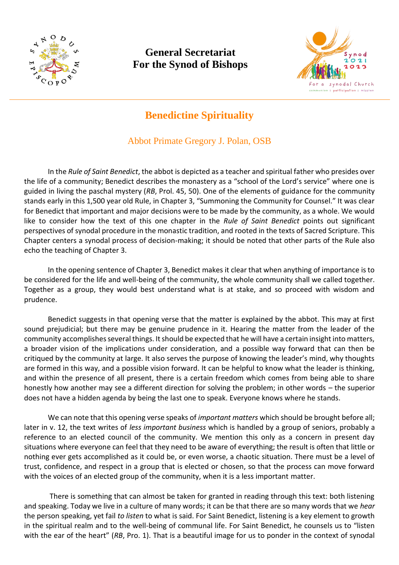

## **General Secretariat For the Synod of Bishops**



## **Benedictine Spirituality**

## Abbot Primate Gregory J. Polan, OSB

In the *Rule of Saint Benedict*, the abbot is depicted as a teacher and spiritual father who presides over the life of a community; Benedict describes the monastery as a "school of the Lord's service" where one is guided in living the paschal mystery (*RB*, Prol. 45, 50). One of the elements of guidance for the community stands early in this 1,500 year old Rule, in Chapter 3, "Summoning the Community for Counsel." It was clear for Benedict that important and major decisions were to be made by the community, as a whole. We would like to consider how the text of this one chapter in the *Rule of Saint Benedict* points out significant perspectives of synodal procedure in the monastic tradition, and rooted in the texts of Sacred Scripture. This Chapter centers a synodal process of decision-making; it should be noted that other parts of the Rule also echo the teaching of Chapter 3.

In the opening sentence of Chapter 3, Benedict makes it clear that when anything of importance is to be considered for the life and well-being of the community, the whole community shall we called together. Together as a group, they would best understand what is at stake, and so proceed with wisdom and prudence.

Benedict suggests in that opening verse that the matter is explained by the abbot. This may at first sound prejudicial; but there may be genuine prudence in it. Hearing the matter from the leader of the community accomplishes several things. It should be expected that he will have a certain insight into matters, a broader vision of the implications under consideration, and a possible way forward that can then be critiqued by the community at large. It also serves the purpose of knowing the leader's mind, why thoughts are formed in this way, and a possible vision forward. It can be helpful to know what the leader is thinking, and within the presence of all present, there is a certain freedom which comes from being able to share honestly how another may see a different direction for solving the problem; in other words – the superior does not have a hidden agenda by being the last one to speak. Everyone knows where he stands.

We can note that this opening verse speaks of *important matters* which should be brought before all; later in v. 12, the text writes of *less important business* which is handled by a group of seniors, probably a reference to an elected council of the community. We mention this only as a concern in present day situations where everyone can feel that they need to be aware of everything; the result is often that little or nothing ever gets accomplished as it could be, or even worse, a chaotic situation. There must be a level of trust, confidence, and respect in a group that is elected or chosen, so that the process can move forward with the voices of an elected group of the community, when it is a less important matter.

There is something that can almost be taken for granted in reading through this text: both listening and speaking. Today we live in a culture of many words; it can be that there are so many words that we *hear* the person speaking, yet fail *to listen* to what is said. For Saint Benedict, listening is a key element to growth in the spiritual realm and to the well-being of communal life. For Saint Benedict, he counsels us to "listen with the ear of the heart" (*RB*, Pro. 1). That is a beautiful image for us to ponder in the context of synodal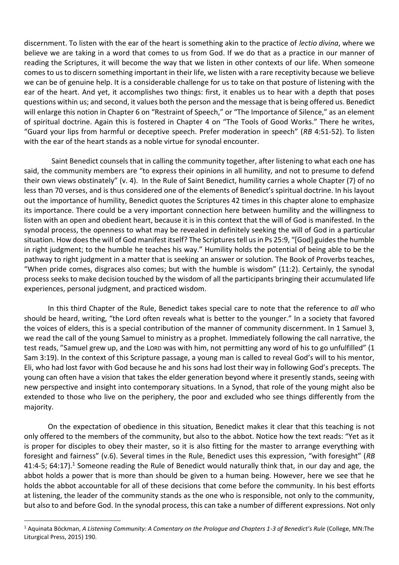discernment. To listen with the ear of the heart is something akin to the practice of *lectio divina*, where we believe we are taking in a word that comes to us from God. If we do that as a practice in our manner of reading the Scriptures, it will become the way that we listen in other contexts of our life. When someone comes to us to discern something important in their life, we listen with a rare receptivity because we believe we can be of genuine help. It is a considerable challenge for us to take on that posture of listening with the ear of the heart. And yet, it accomplishes two things: first, it enables us to hear with a depth that poses questions within us; and second, it values both the person and the message that is being offered us. Benedict will enlarge this notion in Chapter 6 on "Restraint of Speech," or "The Importance of Silence," as an element of spiritual doctrine. Again this is fostered in Chapter 4 on "The Tools of Good Works." There he writes, "Guard your lips from harmful or deceptive speech. Prefer moderation in speech" (*RB* 4:51-52). To listen with the ear of the heart stands as a noble virtue for synodal encounter.

 Saint Benedict counsels that in calling the community together, after listening to what each one has said, the community members are "to express their opinions in all humility, and not to presume to defend their own views obstinately" (v. 4). In the Rule of Saint Benedict, humility carries a whole Chapter (7) of no less than 70 verses, and is thus considered one of the elements of Benedict's spiritual doctrine. In his layout out the importance of humility, Benedict quotes the Scriptures 42 times in this chapter alone to emphasize its importance. There could be a very important connection here between humility and the willingness to listen with an open and obedient heart, because it is in this context that the will of God is manifested. In the synodal process, the openness to what may be revealed in definitely seeking the will of God in a particular situation. How does the will of God manifest itself? The Scriptures tell us in Ps 25:9, "[God] guides the humble in right judgment; to the humble he teaches his way." Humility holds the potential of being able to be the pathway to right judgment in a matter that is seeking an answer or solution. The Book of Proverbs teaches, "When pride comes, disgraces also comes; but with the humble is wisdom" (11:2). Certainly, the synodal process seeks to make decision touched by the wisdom of all the participants bringing their accumulated life experiences, personal judgment, and practiced wisdom.

In this third Chapter of the Rule, Benedict takes special care to note that the reference to *all* who should be heard, writing, "the Lord often reveals what is better to the younger." In a society that favored the voices of elders, this is a special contribution of the manner of community discernment. In 1 Samuel 3, we read the call of the young Samuel to ministry as a prophet. Immediately following the call narrative, the test reads, "Samuel grew up, and the LORD was with him, not permitting any word of his to go unfulfilled" (1 Sam 3:19). In the context of this Scripture passage, a young man is called to reveal God's will to his mentor, Eli, who had lost favor with God because he and his sons had lost their way in following God's precepts. The young can often have a vision that takes the elder generation beyond where it presently stands, seeing with new perspective and insight into contemporary situations. In a Synod, that role of the young might also be extended to those who live on the periphery, the poor and excluded who see things differently from the majority.

On the expectation of obedience in this situation, Benedict makes it clear that this teaching is not only offered to the members of the community, but also to the abbot. Notice how the text reads: "Yet as it is proper for disciples to obey their master, so it is also fitting for the master to arrange everything with foresight and fairness" (v.6). Several times in the Rule, Benedict uses this expression, "with foresight" (*RB* 41:4-5; 64:17).<sup>1</sup> Someone reading the Rule of Benedict would naturally think that, in our day and age, the abbot holds a power that is more than should be given to a human being. However, here we see that he holds the abbot accountable for all of these decisions that come before the community. In his best efforts at listening, the leader of the community stands as the one who is responsible, not only to the community, but also to and before God. In the synodal process, this can take a number of different expressions. Not only

<sup>1</sup> Aquinata Böckman, *A Listening Community: A Comentary on the Prologue and Chapters 1-3 of Benedict's Rule* (College, MN:The Liturgical Press, 2015) 190.